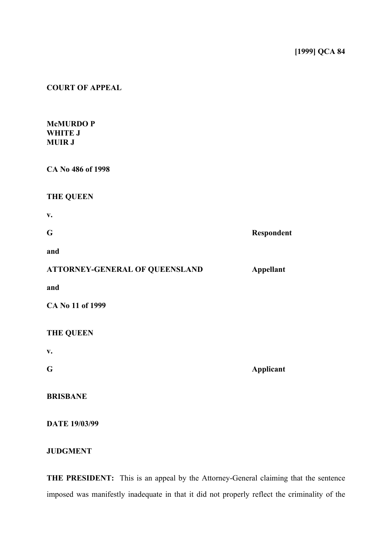### **COURT OF APPEAL**

### **McMURDO P WHITE J MUIR J**

| CA No 486 of 1998 |  |
|-------------------|--|
|-------------------|--|

## **THE QUEEN**

**v. G Respondent and**

| <b>ATTORNEY-GENERAL OF QUEENSLAND</b> | Appellant |
|---------------------------------------|-----------|
|---------------------------------------|-----------|

**and**

**CA No 11 of 1999**

## **THE QUEEN**

**v.**

**G Applicant**

**BRISBANE**

**DATE 19/03/99**

# **JUDGMENT**

**THE PRESIDENT:** This is an appeal by the Attorney-General claiming that the sentence imposed was manifestly inadequate in that it did not properly reflect the criminality of the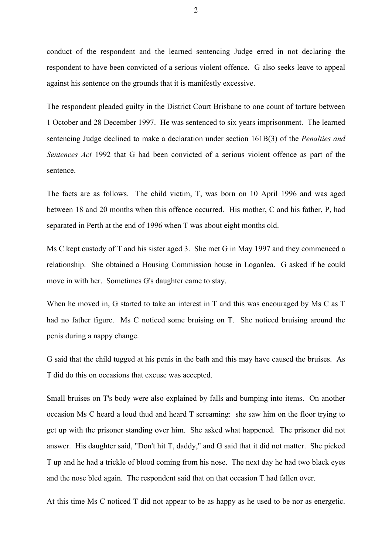conduct of the respondent and the learned sentencing Judge erred in not declaring the respondent to have been convicted of a serious violent offence. G also seeks leave to appeal against his sentence on the grounds that it is manifestly excessive.

The respondent pleaded guilty in the District Court Brisbane to one count of torture between 1 October and 28 December 1997. He was sentenced to six years imprisonment. The learned sentencing Judge declined to make a declaration under section 161B(3) of the *Penalties and Sentences Act* 1992 that G had been convicted of a serious violent offence as part of the sentence.

The facts are as follows. The child victim, T, was born on 10 April 1996 and was aged between 18 and 20 months when this offence occurred. His mother, C and his father, P, had separated in Perth at the end of 1996 when T was about eight months old.

Ms C kept custody of T and his sister aged 3. She met G in May 1997 and they commenced a relationship. She obtained a Housing Commission house in Loganlea. G asked if he could move in with her. Sometimes G's daughter came to stay.

When he moved in, G started to take an interest in T and this was encouraged by Ms C as T had no father figure. Ms C noticed some bruising on T. She noticed bruising around the penis during a nappy change.

G said that the child tugged at his penis in the bath and this may have caused the bruises. As T did do this on occasions that excuse was accepted.

Small bruises on T's body were also explained by falls and bumping into items. On another occasion Ms C heard a loud thud and heard T screaming: she saw him on the floor trying to get up with the prisoner standing over him. She asked what happened. The prisoner did not answer. His daughter said, "Don't hit T, daddy," and G said that it did not matter. She picked T up and he had a trickle of blood coming from his nose. The next day he had two black eyes and the nose bled again. The respondent said that on that occasion T had fallen over.

At this time Ms C noticed T did not appear to be as happy as he used to be nor as energetic.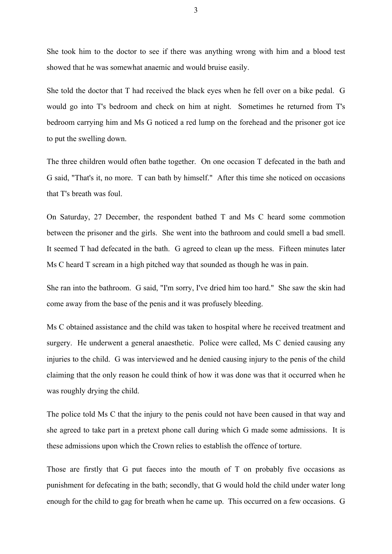She took him to the doctor to see if there was anything wrong with him and a blood test showed that he was somewhat anaemic and would bruise easily.

She told the doctor that T had received the black eyes when he fell over on a bike pedal. G would go into T's bedroom and check on him at night. Sometimes he returned from T's bedroom carrying him and Ms G noticed a red lump on the forehead and the prisoner got ice to put the swelling down.

The three children would often bathe together. On one occasion T defecated in the bath and G said, "That's it, no more. T can bath by himself." After this time she noticed on occasions that T's breath was foul.

On Saturday, 27 December, the respondent bathed T and Ms C heard some commotion between the prisoner and the girls. She went into the bathroom and could smell a bad smell. It seemed T had defecated in the bath. G agreed to clean up the mess. Fifteen minutes later Ms C heard T scream in a high pitched way that sounded as though he was in pain.

She ran into the bathroom. G said, "I'm sorry, I've dried him too hard." She saw the skin had come away from the base of the penis and it was profusely bleeding.

Ms C obtained assistance and the child was taken to hospital where he received treatment and surgery. He underwent a general anaesthetic. Police were called, Ms C denied causing any injuries to the child. G was interviewed and he denied causing injury to the penis of the child claiming that the only reason he could think of how it was done was that it occurred when he was roughly drying the child.

The police told Ms C that the injury to the penis could not have been caused in that way and she agreed to take part in a pretext phone call during which G made some admissions. It is these admissions upon which the Crown relies to establish the offence of torture.

Those are firstly that G put faeces into the mouth of T on probably five occasions as punishment for defecating in the bath; secondly, that G would hold the child under water long enough for the child to gag for breath when he came up. This occurred on a few occasions. G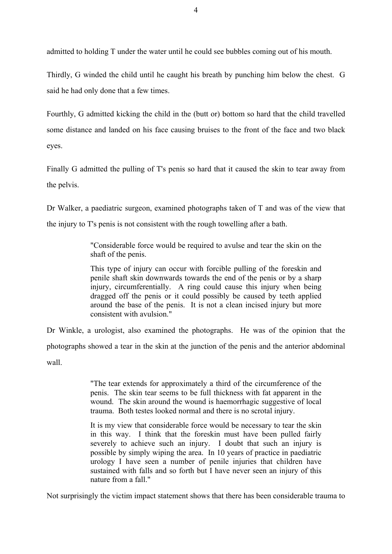admitted to holding T under the water until he could see bubbles coming out of his mouth.

Thirdly, G winded the child until he caught his breath by punching him below the chest. G said he had only done that a few times.

Fourthly, G admitted kicking the child in the (butt or) bottom so hard that the child travelled some distance and landed on his face causing bruises to the front of the face and two black eyes.

Finally G admitted the pulling of T's penis so hard that it caused the skin to tear away from the pelvis.

Dr Walker, a paediatric surgeon, examined photographs taken of T and was of the view that

the injury to T's penis is not consistent with the rough towelling after a bath.

"Considerable force would be required to avulse and tear the skin on the shaft of the penis.

This type of injury can occur with forcible pulling of the foreskin and penile shaft skin downwards towards the end of the penis or by a sharp injury, circumferentially. A ring could cause this injury when being dragged off the penis or it could possibly be caused by teeth applied around the base of the penis. It is not a clean incised injury but more consistent with avulsion."

Dr Winkle, a urologist, also examined the photographs. He was of the opinion that the photographs showed a tear in the skin at the junction of the penis and the anterior abdominal wall.

> "The tear extends for approximately a third of the circumference of the penis. The skin tear seems to be full thickness with fat apparent in the wound. The skin around the wound is haemorrhagic suggestive of local trauma. Both testes looked normal and there is no scrotal injury.

> It is my view that considerable force would be necessary to tear the skin in this way. I think that the foreskin must have been pulled fairly severely to achieve such an injury. I doubt that such an injury is possible by simply wiping the area. In 10 years of practice in paediatric urology I have seen a number of penile injuries that children have sustained with falls and so forth but I have never seen an injury of this nature from a fall."

Not surprisingly the victim impact statement shows that there has been considerable trauma to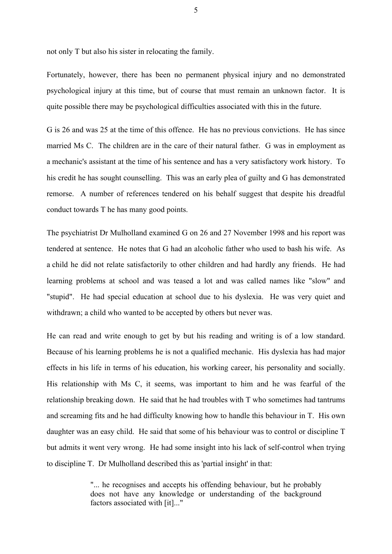not only T but also his sister in relocating the family.

Fortunately, however, there has been no permanent physical injury and no demonstrated psychological injury at this time, but of course that must remain an unknown factor. It is quite possible there may be psychological difficulties associated with this in the future.

G is 26 and was 25 at the time of this offence. He has no previous convictions. He has since married Ms C. The children are in the care of their natural father. G was in employment as a mechanic's assistant at the time of his sentence and has a very satisfactory work history. To his credit he has sought counselling. This was an early plea of guilty and G has demonstrated remorse. A number of references tendered on his behalf suggest that despite his dreadful conduct towards T he has many good points.

The psychiatrist Dr Mulholland examined G on 26 and 27 November 1998 and his report was tendered at sentence. He notes that G had an alcoholic father who used to bash his wife. As a child he did not relate satisfactorily to other children and had hardly any friends. He had learning problems at school and was teased a lot and was called names like "slow" and "stupid". He had special education at school due to his dyslexia. He was very quiet and withdrawn; a child who wanted to be accepted by others but never was.

He can read and write enough to get by but his reading and writing is of a low standard. Because of his learning problems he is not a qualified mechanic. His dyslexia has had major effects in his life in terms of his education, his working career, his personality and socially. His relationship with Ms C, it seems, was important to him and he was fearful of the relationship breaking down. He said that he had troubles with T who sometimes had tantrums and screaming fits and he had difficulty knowing how to handle this behaviour in T. His own daughter was an easy child. He said that some of his behaviour was to control or discipline T but admits it went very wrong. He had some insight into his lack of self-control when trying to discipline T. Dr Mulholland described this as 'partial insight' in that:

> "... he recognises and accepts his offending behaviour, but he probably does not have any knowledge or understanding of the background factors associated with [it]..."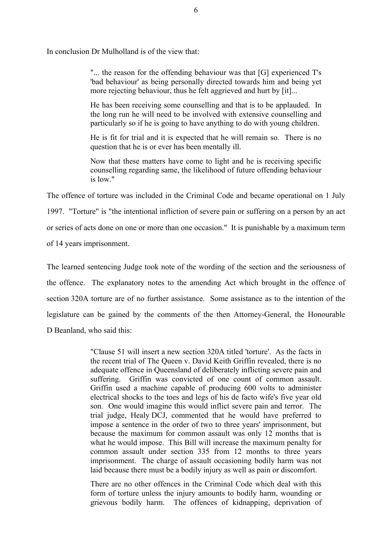In conclusion Dr Mulholland is of the view that:

"... the reason for the offending behaviour was that [G] experienced T's 'bad behaviour' as being personally directed towards him and being yet more rejecting behaviour, thus he felt aggrieved and hurt by [it]...

He has been receiving some counselling and that is to be applauded. In the long run he will need to be involved with extensive counselling and particularly so if he is going to have anything to do with young children.

He is fit for trial and it is expected that he will remain so. There is no question that he is or ever has been mentally ill.

Now that these matters have come to light and he is receiving specific counselling regarding same, the likelihood of future offending behaviour is low."

The offence of torture was included in the Criminal Code and became operational on 1 July 1997. "Torture" is "the intentional infliction of severe pain or suffering on a person by an act or series of acts done on one or more than one occasion." It is punishable by a maximum term of 14 years imprisonment.

The learned sentencing Judge took note of the wording of the section and the seriousness of the offence. The explanatory notes to the amending Act which brought in the offence of section 320A torture are of no further assistance. Some assistance as to the intention of the legislature can be gained by the comments of the then Attorney-General, the Honourable D Beanland, who said this:

> "Clause 51 will insert a new section 320A titled 'torture'. As the facts in the recent trial of The Queen v. David Keith Griffin revealed, there is no adequate offence in Queensland of deliberately inflicting severe pain and suffering. Griffin was convicted of one count of common assault. Griffin used a machine capable of producing 600 volts to administer electrical shocks to the toes and legs of his de facto wife's five year old son. One would imagine this would inflict severe pain and terror. The trial judge, Healy DCJ, commented that he would have preferred to impose a sentence in the order of two to three years' imprisonment, but because the maximum for common assault was only 12 months that is what he would impose. This Bill will increase the maximum penalty for common assault under section 335 from 12 months to three years imprisonment. The charge of assault occasioning bodily harm was not laid because there must be a bodily injury as well as pain or discomfort.

> There are no other offences in the Criminal Code which deal with this form of torture unless the injury amounts to bodily harm, wounding or grievous bodily harm. The offences of kidnapping, deprivation of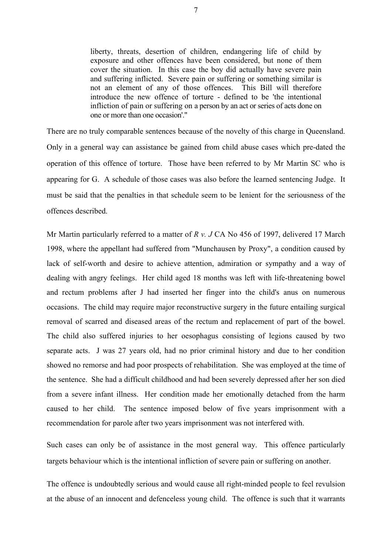liberty, threats, desertion of children, endangering life of child by exposure and other offences have been considered, but none of them cover the situation. In this case the boy did actually have severe pain and suffering inflicted. Severe pain or suffering or something similar is not an element of any of those offences. This Bill will therefore introduce the new offence of torture - defined to be 'the intentional infliction of pain or suffering on a person by an act or series of acts done on one or more than one occasion'."

There are no truly comparable sentences because of the novelty of this charge in Queensland. Only in a general way can assistance be gained from child abuse cases which pre-dated the operation of this offence of torture. Those have been referred to by Mr Martin SC who is appearing for G. A schedule of those cases was also before the learned sentencing Judge. It must be said that the penalties in that schedule seem to be lenient for the seriousness of the offences described.

Mr Martin particularly referred to a matter of *R v. J* CA No 456 of 1997, delivered 17 March 1998, where the appellant had suffered from "Munchausen by Proxy", a condition caused by lack of self-worth and desire to achieve attention, admiration or sympathy and a way of dealing with angry feelings. Her child aged 18 months was left with life-threatening bowel and rectum problems after J had inserted her finger into the child's anus on numerous occasions. The child may require major reconstructive surgery in the future entailing surgical removal of scarred and diseased areas of the rectum and replacement of part of the bowel. The child also suffered injuries to her oesophagus consisting of legions caused by two separate acts. J was 27 years old, had no prior criminal history and due to her condition showed no remorse and had poor prospects of rehabilitation. She was employed at the time of the sentence. She had a difficult childhood and had been severely depressed after her son died from a severe infant illness. Her condition made her emotionally detached from the harm caused to her child. The sentence imposed below of five years imprisonment with a recommendation for parole after two years imprisonment was not interfered with.

Such cases can only be of assistance in the most general way. This offence particularly targets behaviour which is the intentional infliction of severe pain or suffering on another.

The offence is undoubtedly serious and would cause all right-minded people to feel revulsion at the abuse of an innocent and defenceless young child. The offence is such that it warrants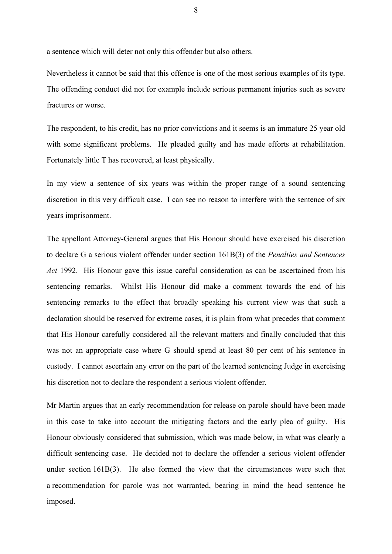a sentence which will deter not only this offender but also others.

Nevertheless it cannot be said that this offence is one of the most serious examples of its type. The offending conduct did not for example include serious permanent injuries such as severe fractures or worse.

The respondent, to his credit, has no prior convictions and it seems is an immature 25 year old with some significant problems. He pleaded guilty and has made efforts at rehabilitation. Fortunately little T has recovered, at least physically.

In my view a sentence of six years was within the proper range of a sound sentencing discretion in this very difficult case. I can see no reason to interfere with the sentence of six years imprisonment.

The appellant Attorney-General argues that His Honour should have exercised his discretion to declare G a serious violent offender under section 161B(3) of the *Penalties and Sentences Act* 1992. His Honour gave this issue careful consideration as can be ascertained from his sentencing remarks. Whilst His Honour did make a comment towards the end of his sentencing remarks to the effect that broadly speaking his current view was that such a declaration should be reserved for extreme cases, it is plain from what precedes that comment that His Honour carefully considered all the relevant matters and finally concluded that this was not an appropriate case where G should spend at least 80 per cent of his sentence in custody. I cannot ascertain any error on the part of the learned sentencing Judge in exercising his discretion not to declare the respondent a serious violent offender.

Mr Martin argues that an early recommendation for release on parole should have been made in this case to take into account the mitigating factors and the early plea of guilty. His Honour obviously considered that submission, which was made below, in what was clearly a difficult sentencing case. He decided not to declare the offender a serious violent offender under section 161B(3). He also formed the view that the circumstances were such that a recommendation for parole was not warranted, bearing in mind the head sentence he imposed.

8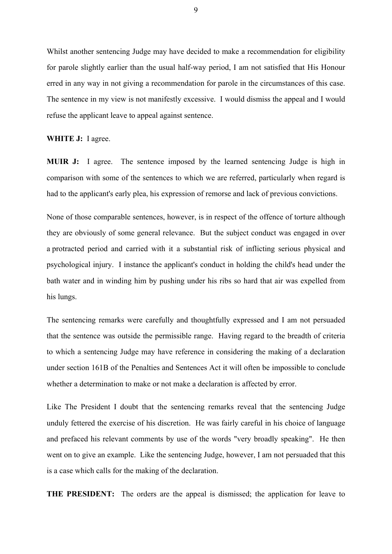Whilst another sentencing Judge may have decided to make a recommendation for eligibility for parole slightly earlier than the usual half-way period, I am not satisfied that His Honour erred in any way in not giving a recommendation for parole in the circumstances of this case. The sentence in my view is not manifestly excessive. I would dismiss the appeal and I would refuse the applicant leave to appeal against sentence.

#### **WHITE J:** I agree.

**MUIR J:** I agree. The sentence imposed by the learned sentencing Judge is high in comparison with some of the sentences to which we are referred, particularly when regard is had to the applicant's early plea, his expression of remorse and lack of previous convictions.

None of those comparable sentences, however, is in respect of the offence of torture although they are obviously of some general relevance. But the subject conduct was engaged in over a protracted period and carried with it a substantial risk of inflicting serious physical and psychological injury. I instance the applicant's conduct in holding the child's head under the bath water and in winding him by pushing under his ribs so hard that air was expelled from his lungs.

The sentencing remarks were carefully and thoughtfully expressed and I am not persuaded that the sentence was outside the permissible range. Having regard to the breadth of criteria to which a sentencing Judge may have reference in considering the making of a declaration under section 161B of the Penalties and Sentences Act it will often be impossible to conclude whether a determination to make or not make a declaration is affected by error.

Like The President I doubt that the sentencing remarks reveal that the sentencing Judge unduly fettered the exercise of his discretion. He was fairly careful in his choice of language and prefaced his relevant comments by use of the words "very broadly speaking". He then went on to give an example. Like the sentencing Judge, however, I am not persuaded that this is a case which calls for the making of the declaration.

**THE PRESIDENT:** The orders are the appeal is dismissed; the application for leave to